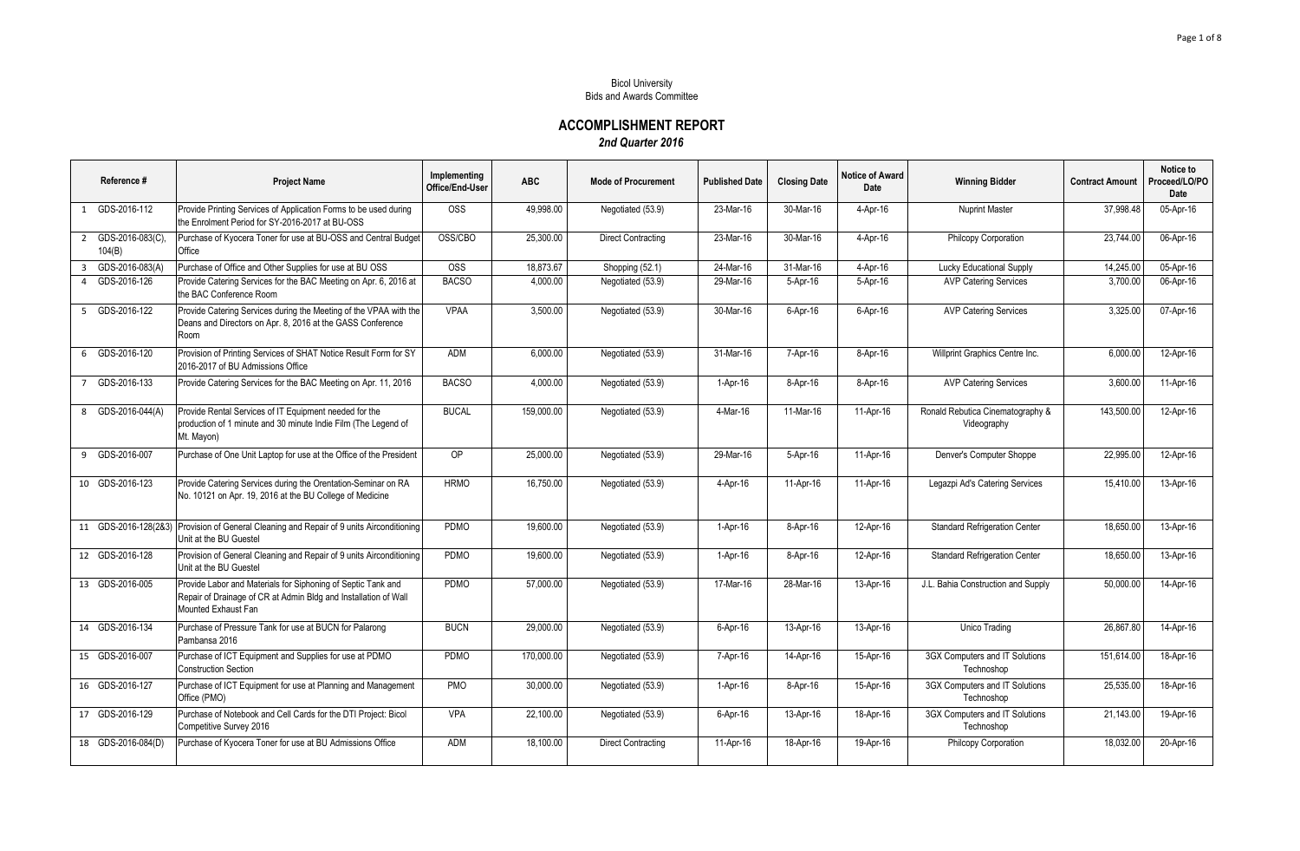## Bicol University Bids and Awards Committee

**ACCOMPLISHMENT REPORT** *2nd Quarter 2016*

| Reference #                       | <b>Project Name</b>                                                                                                                                    | Implementing<br>Office/End-User | <b>ABC</b> | <b>Mode of Procurement</b> | <b>Published Date</b> | <b>Closing Date</b> | Notice of Award<br>Date | <b>Winning Bidder</b>                           | <b>Contract Amount</b> | Notice to<br>Proceed/LO/PO<br>Date |
|-----------------------------------|--------------------------------------------------------------------------------------------------------------------------------------------------------|---------------------------------|------------|----------------------------|-----------------------|---------------------|-------------------------|-------------------------------------------------|------------------------|------------------------------------|
| 1 GDS-2016-112                    | Provide Printing Services of Application Forms to be used during<br>the Enrolment Period for SY-2016-2017 at BU-OSS                                    | OSS                             | 49,998.00  | Negotiated (53.9)          | 23-Mar-16             | 30-Mar-16           | 4-Apr-16                | <b>Nuprint Master</b>                           | 37.998.48              | 05-Apr-16                          |
| 2 GDS-2016-083(C),<br>104(B)      | Purchase of Kyocera Toner for use at BU-OSS and Central Budget<br>Office                                                                               | OSS/CBO                         | 25.300.00  | <b>Direct Contracting</b>  | 23-Mar-16             | 30-Mar-16           | $4-Apr-16$              | Philcopy Corporation                            | 23.744.00              | 06-Apr-16                          |
| GDS-2016-083(A)<br>$\overline{3}$ | Purchase of Office and Other Supplies for use at BU OSS                                                                                                | <b>OSS</b>                      | 18.873.67  | Shopping (52.1)            | 24-Mar-16             | 31-Mar-16           | 4-Apr-16                | <b>Lucky Educational Supply</b>                 | 14.245.00              | 05-Apr-16                          |
| 4 GDS-2016-126                    | Provide Catering Services for the BAC Meeting on Apr. 6, 2016 at<br>the BAC Conference Room                                                            | <b>BACSO</b>                    | 4,000.00   | Negotiated (53.9)          | 29-Mar-16             | 5-Apr-16            | 5-Apr-16                | <b>AVP Catering Services</b>                    | 3,700.00               | 06-Apr-16                          |
| 5 GDS-2016-122                    | Provide Catering Services during the Meeting of the VPAA with the<br>Deans and Directors on Apr. 8, 2016 at the GASS Conference<br>Room                | <b>VPAA</b>                     | 3,500.00   | Negotiated (53.9)          | 30-Mar-16             | 6-Apr-16            | 6-Apr-16                | <b>AVP Catering Services</b>                    | 3,325.00               | 07-Apr-16                          |
| 6 GDS-2016-120                    | Provision of Printing Services of SHAT Notice Result Form for SY<br>2016-2017 of BU Admissions Office                                                  | ADM                             | 6,000.00   | Negotiated (53.9)          | 31-Mar-16             | 7-Apr-16            | 8-Apr-16                | Willprint Graphics Centre Inc.                  | 6,000.00               | 12-Apr-16                          |
| 7 GDS-2016-133                    | Provide Catering Services for the BAC Meeting on Apr. 11, 2016                                                                                         | <b>BACSO</b>                    | 4,000.00   | Negotiated (53.9)          | 1-Apr-16              | 8-Apr-16            | 8-Apr-16                | <b>AVP Catering Services</b>                    | 3,600.00               | 11-Apr-16                          |
| 8 GDS-2016-044(A)                 | Provide Rental Services of IT Equipment needed for the<br>production of 1 minute and 30 minute Indie Film (The Legend of<br>Mt. Mayon)                 | <b>BUCAL</b>                    | 159,000.00 | Negotiated (53.9)          | 4-Mar-16              | 11-Mar-16           | 11-Apr-16               | Ronald Rebutica Cinematography &<br>Videography | 143,500.00             | 12-Apr-16                          |
| 9 GDS-2016-007                    | Purchase of One Unit Laptop for use at the Office of the President                                                                                     | <b>OP</b>                       | 25.000.00  | Negotiated (53.9)          | 29-Mar-16             | 5-Apr-16            | 11-Apr-16               | Denver's Computer Shoppe                        | 22.995.00              | 12-Apr-16                          |
| 10 GDS-2016-123                   | Provide Catering Services during the Orentation-Seminar on RA<br>No. 10121 on Apr. 19, 2016 at the BU College of Medicine                              | <b>HRMO</b>                     | 16,750.00  | Negotiated (53.9)          | 4-Apr-16              | 11-Apr-16           | 11-Apr-16               | Legazpi Ad's Catering Services                  | 15,410.00              | 13-Apr-16                          |
|                                   | 11 GDS-2016-128(2&3) Provision of General Cleaning and Repair of 9 units Airconditioning<br>Unit at the BU Guestel                                     | PDMO                            | 19,600.00  | Negotiated (53.9)          | 1-Apr-16              | $8-Apr-16$          | 12-Apr-16               | <b>Standard Refrigeration Center</b>            | 18.650.00              | 13-Apr-16                          |
| 12 GDS-2016-128                   | Provision of General Cleaning and Repair of 9 units Airconditioning<br>Unit at the BU Guestel                                                          | PDMO                            | 19,600.00  | Negotiated (53.9)          | 1-Apr-16              | 8-Apr-16            | 12-Apr-16               | <b>Standard Refrigeration Center</b>            | 18,650.00              | 13-Apr-16                          |
| 13 GDS-2016-005                   | Provide Labor and Materials for Siphoning of Septic Tank and<br>Repair of Drainage of CR at Admin Bldg and Installation of Wall<br>Mounted Exhaust Fan | <b>PDMO</b>                     | 57,000.00  | Negotiated (53.9)          | 17-Mar-16             | 28-Mar-16           | 13-Apr-16               | J.L. Bahia Construction and Supply              | 50.000.00              | 14-Apr-16                          |
| 14 GDS-2016-134                   | Purchase of Pressure Tank for use at BUCN for Palarong<br>Pambansa 2016                                                                                | <b>BUCN</b>                     | 29,000.00  | Negotiated (53.9)          | 6-Apr-16              | 13-Apr-16           | 13-Apr-16               | Unico Trading                                   | 26,867.80              | 14-Apr-16                          |
| 15 GDS-2016-007                   | Purchase of ICT Equipment and Supplies for use at PDMO<br><b>Construction Section</b>                                                                  | PDMO                            | 170,000.00 | Negotiated (53.9)          | 7-Apr-16              | 14-Apr-16           | 15-Apr-16               | 3GX Computers and IT Solutions<br>Technoshop    | 151.614.00             | 18-Apr-16                          |
| 16 GDS-2016-127                   | Purchase of ICT Equipment for use at Planning and Management<br>Office (PMO)                                                                           | PMO                             | 30,000.00  | Negotiated (53.9)          | 1-Apr-16              | 8-Apr-16            | 15-Apr-16               | 3GX Computers and IT Solutions<br>Technoshop    | 25,535.00              | 18-Apr-16                          |
| 17 GDS-2016-129                   | Purchase of Notebook and Cell Cards for the DTI Project: Bicol<br>Competitive Survey 2016                                                              | <b>VPA</b>                      | 22,100.00  | Negotiated (53.9)          | 6-Apr-16              | 13-Apr-16           | 18-Apr-16               | 3GX Computers and IT Solutions<br>Technoshop    | 21.143.00              | 19-Apr-16                          |
| 18 GDS-2016-084(D)                | Purchase of Kyocera Toner for use at BU Admissions Office                                                                                              | ADM                             | 18,100.00  | <b>Direct Contracting</b>  | 11-Apr-16             | 18-Apr-16           | 19-Apr-16               | Philcopy Corporation                            | 18,032.00              | 20-Apr-16                          |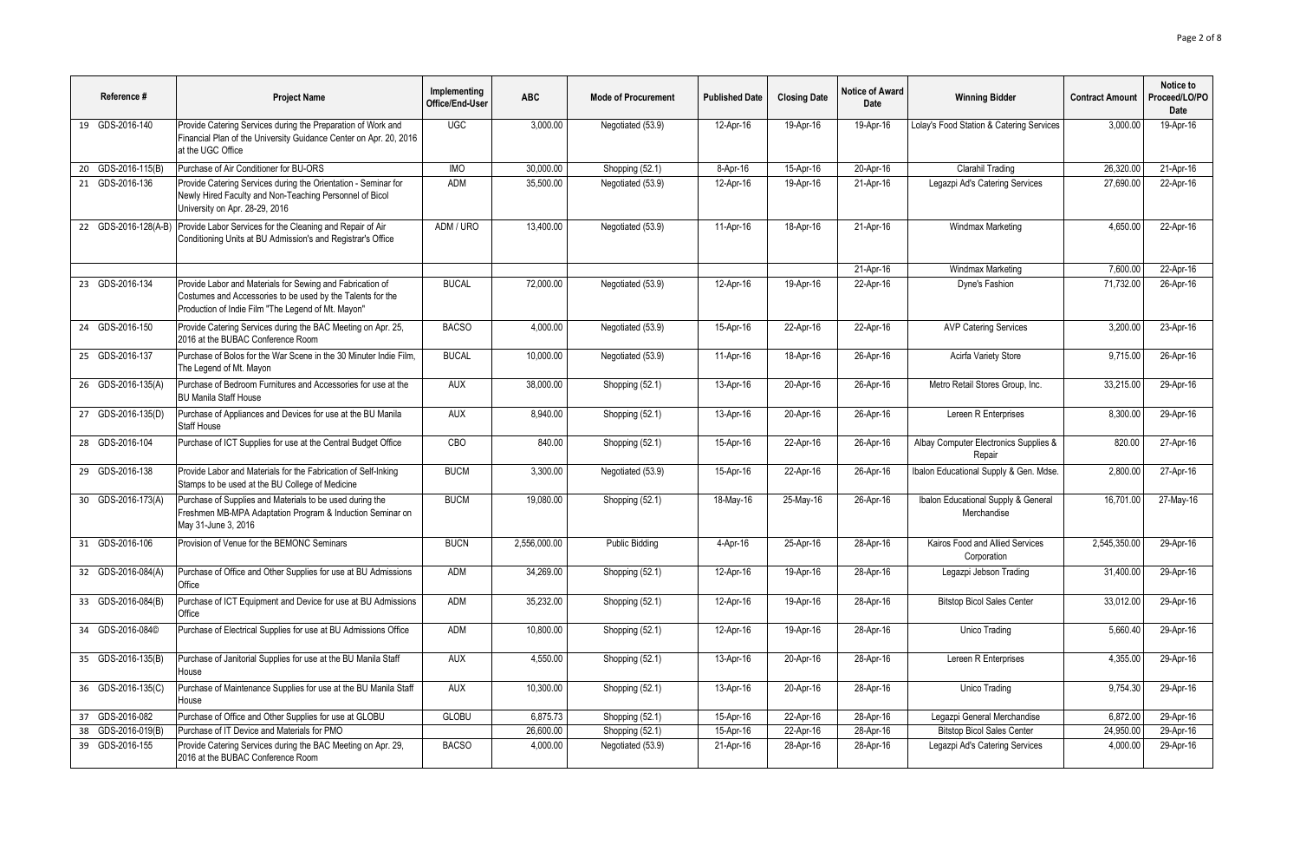| Reference #           | <b>Project Name</b>                                                                                                                                                           | Implementing<br>Office/End-User | <b>ABC</b>   | <b>Mode of Procurement</b> | <b>Published Date</b> | <b>Closing Date</b> | <b>Notice of Award</b><br>Date | <b>Winning Bidder</b>                              | <b>Contract Amount</b> | Notice to<br>Proceed/LO/PO<br>Date |
|-----------------------|-------------------------------------------------------------------------------------------------------------------------------------------------------------------------------|---------------------------------|--------------|----------------------------|-----------------------|---------------------|--------------------------------|----------------------------------------------------|------------------------|------------------------------------|
| 19 GDS-2016-140       | Provide Catering Services during the Preparation of Work and<br>Financial Plan of the University Guidance Center on Apr. 20, 2016<br>at the UGC Office                        | <b>UGC</b>                      | 3.000.00     | Negotiated (53.9)          | 12-Apr-16             | 19-Apr-16           | 19-Apr-16                      | Lolay's Food Station & Catering Services           | 3.000.00               | 19-Apr-16                          |
| 20 GDS-2016-115(B)    | Purchase of Air Conditioner for BU-ORS                                                                                                                                        | <b>IMO</b>                      | 30,000.00    | Shopping (52.1)            | 8-Apr-16              | 15-Apr-16           | 20-Apr-16                      | Clarahil Trading                                   | 26.320.00              | 21-Apr-16                          |
| 21 GDS-2016-136       | Provide Catering Services during the Orientation - Seminar for<br>Newly Hired Faculty and Non-Teaching Personnel of Bicol<br>University on Apr. 28-29, 2016                   | <b>ADM</b>                      | 35,500.00    | Negotiated (53.9)          | 12-Apr-16             | 19-Apr-16           | 21-Apr-16                      | Legazpi Ad's Catering Services                     | 27,690.00              | 22-Apr-16                          |
| 22 GDS-2016-128(A-B)  | Provide Labor Services for the Cleaning and Repair of Air<br>Conditioning Units at BU Admission's and Registrar's Office                                                      | ADM / URO                       | 13,400.00    | Negotiated (53.9)          | 11-Apr-16             | 18-Apr-16           | 21-Apr-16                      | Windmax Marketing                                  | 4.650.00               | 22-Apr-16                          |
|                       |                                                                                                                                                                               |                                 |              |                            |                       |                     | 21-Apr-16                      | Windmax Marketing                                  | 7,600.00               | 22-Apr-16                          |
| 23 GDS-2016-134       | Provide Labor and Materials for Sewing and Fabrication of<br>Costumes and Accessories to be used by the Talents for the<br>Production of Indie Film "The Legend of Mt. Mayon" | <b>BUCAL</b>                    | 72,000.00    | Negotiated (53.9)          | 12-Apr-16             | 19-Apr-16           | 22-Apr-16                      | Dyne's Fashion                                     | 71,732.00              | 26-Apr-16                          |
| 24 GDS-2016-150       | Provide Catering Services during the BAC Meeting on Apr. 25,<br>2016 at the BUBAC Conference Room                                                                             | <b>BACSO</b>                    | 4,000.00     | Negotiated (53.9)          | 15-Apr-16             | 22-Apr-16           | 22-Apr-16                      | <b>AVP Catering Services</b>                       | 3.200.00               | 23-Apr-16                          |
| 25 GDS-2016-137       | Purchase of Bolos for the War Scene in the 30 Minuter Indie Film,<br>The Legend of Mt. Mayon                                                                                  | <b>BUCAL</b>                    | 10,000.00    | Negotiated (53.9)          | 11-Apr-16             | 18-Apr-16           | 26-Apr-16                      | Acirfa Variety Store                               | 9,715.00               | 26-Apr-16                          |
| 26 GDS-2016-135(A)    | Purchase of Bedroom Furnitures and Accessories for use at the<br><b>BU Manila Staff House</b>                                                                                 | <b>AUX</b>                      | 38.000.00    | Shopping (52.1)            | 13-Apr-16             | 20-Apr-16           | 26-Apr-16                      | Metro Retail Stores Group. Inc.                    | 33.215.00              | 29-Apr-16                          |
| 27 GDS-2016-135(D)    | Purchase of Appliances and Devices for use at the BU Manila<br>Staff House                                                                                                    | <b>AUX</b>                      | 8,940.00     | Shopping (52.1)            | 13-Apr-16             | 20-Apr-16           | 26-Apr-16                      | Lereen R Enterprises                               | 8,300.00               | 29-Apr-16                          |
| 28 GDS-2016-104       | Purchase of ICT Supplies for use at the Central Budget Office                                                                                                                 | CBO                             | 840.00       | Shopping (52.1)            | 15-Apr-16             | 22-Apr-16           | 26-Apr-16                      | Albay Computer Electronics Supplies &<br>Repair    | 820.00                 | 27-Apr-16                          |
| 29 GDS-2016-138       | Provide Labor and Materials for the Fabrication of Self-Inking<br>Stamps to be used at the BU College of Medicine                                                             | <b>BUCM</b>                     | 3.300.00     | Negotiated (53.9)          | 15-Apr-16             | 22-Apr-16           | 26-Apr-16                      | Ibalon Educational Supply & Gen. Mdse.             | 2.800.00               | 27-Apr-16                          |
| 30 GDS-2016-173(A)    | Purchase of Supplies and Materials to be used during the<br>Freshmen MB-MPA Adaptation Program & Induction Seminar on<br>May 31-June 3, 2016                                  | <b>BUCM</b>                     | 19,080.00    | Shopping (52.1)            | 18-May-16             | 25-May-16           | 26-Apr-16                      | Ibalon Educational Supply & General<br>Merchandise | 16,701.00              | 27-May-16                          |
| 31 GDS-2016-106       | Provision of Venue for the BEMONC Seminars                                                                                                                                    | <b>BUCN</b>                     | 2,556,000.00 | <b>Public Bidding</b>      | 4-Apr-16              | 25-Apr-16           | 28-Apr-16                      | Kairos Food and Allied Services<br>Corporation     | 2,545,350.00           | 29-Apr-16                          |
| 32 GDS-2016-084(A)    | Purchase of Office and Other Supplies for use at BU Admissions<br>Office                                                                                                      | ADM                             | 34,269.00    | Shopping (52.1)            | 12-Apr-16             | 19-Apr-16           | 28-Apr-16                      | Legazpi Jebson Trading                             | 31,400.00              | 29-Apr-16                          |
| 33 GDS-2016-084(B)    | Purchase of ICT Equipment and Device for use at BU Admissions<br>Office                                                                                                       | <b>ADM</b>                      | 35,232.00    | Shopping (52.1)            | 12-Apr-16             | 19-Apr-16           | 28-Apr-16                      | <b>Bitstop Bicol Sales Center</b>                  | 33,012.00              | 29-Apr-16                          |
| 34 GDS-2016-084©      | Purchase of Electrical Supplies for use at BU Admissions Office                                                                                                               | <b>ADM</b>                      | 10,800.00    | Shopping (52.1)            | 12-Apr-16             | 19-Apr-16           | 28-Apr-16                      | Unico Trading                                      | 5,660.40               | 29-Apr-16                          |
| 35 GDS-2016-135(B)    | Purchase of Janitorial Supplies for use at the BU Manila Staff<br>House                                                                                                       | <b>AUX</b>                      | 4.550.00     | Shopping (52.1)            | 13-Apr-16             | 20-Apr-16           | 28-Apr-16                      | Lereen R Enterprises                               | 4,355.00               | 29-Apr-16                          |
| 36 GDS-2016-135(C)    | Purchase of Maintenance Supplies for use at the BU Manila Staff<br>House                                                                                                      | <b>AUX</b>                      | 10.300.00    | Shopping (52.1)            | 13-Apr-16             | 20-Apr-16           | 28-Apr-16                      | Unico Trading                                      | 9,754.30               | 29-Apr-16                          |
| 37 GDS-2016-082       | Purchase of Office and Other Supplies for use at GLOBU                                                                                                                        | <b>GLOBU</b>                    | 6,875.73     | Shopping (52.1)            | 15-Apr-16             | 22-Apr-16           | 28-Apr-16                      | Legazpi General Merchandise                        | 6,872.00               | 29-Apr-16                          |
| GDS-2016-019(B)<br>38 | Purchase of IT Device and Materials for PMO                                                                                                                                   |                                 | 26.600.00    | Shopping (52.1)            | 15-Apr-16             | 22-Apr-16           | 28-Apr-16                      | <b>Bitstop Bicol Sales Center</b>                  | 24.950.00              | 29-Apr-16                          |
| 39 GDS-2016-155       | Provide Catering Services during the BAC Meeting on Apr. 29,<br>2016 at the BUBAC Conference Room                                                                             | <b>BACSO</b>                    | 4.000.00     | Negotiated (53.9)          | 21-Apr-16             | 28-Apr-16           | 28-Apr-16                      | Legazpi Ad's Catering Services                     | 4.000.00               | 29-Apr-16                          |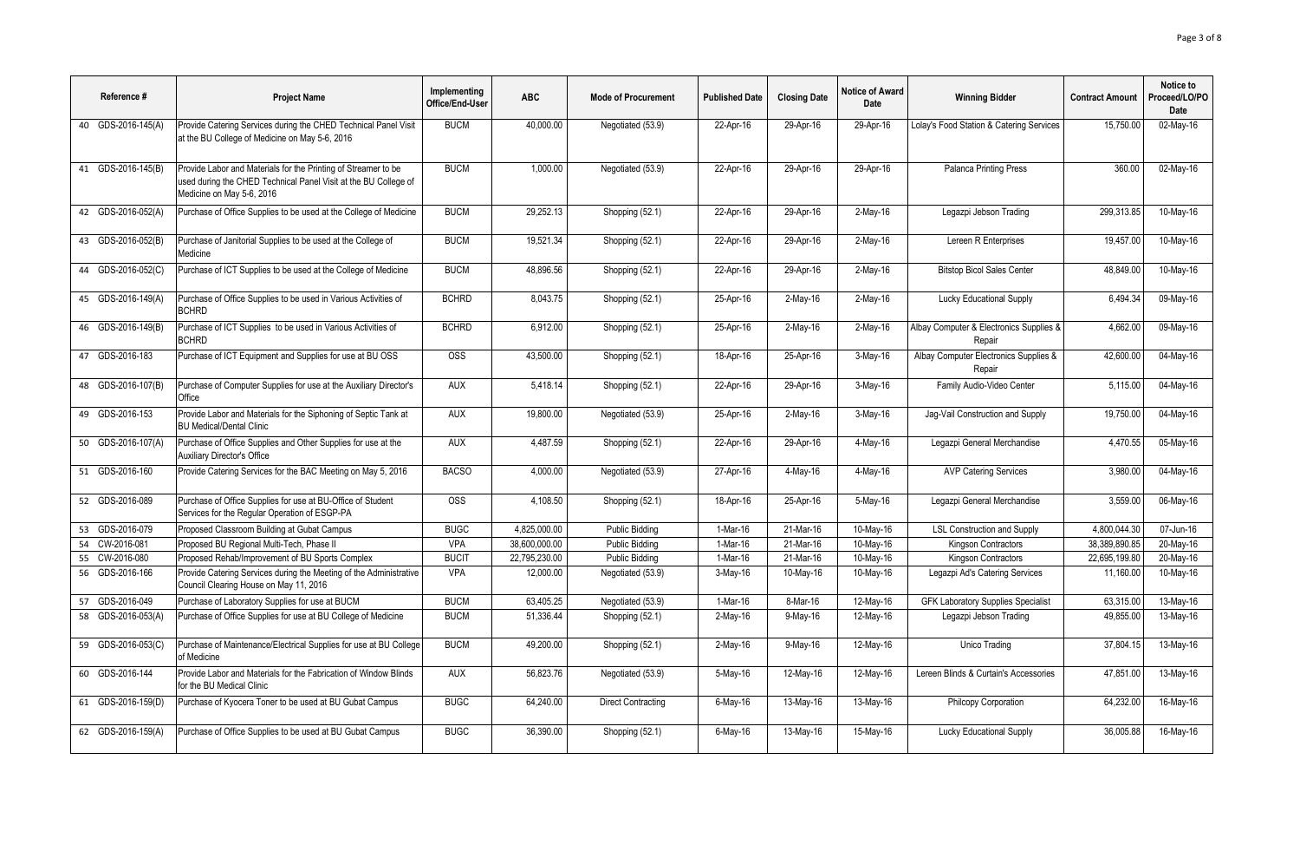| Reference #        | <b>Project Name</b>                                                                                                                                            | Implementing<br>Office/End-User | <b>ABC</b>    | <b>Mode of Procurement</b> | <b>Published Date</b> | <b>Closing Date</b> | Notice of Award<br>Date | <b>Winning Bidder</b>                             | <b>Contract Amount</b> | Notice to<br>Proceed/LO/PO<br>Date |
|--------------------|----------------------------------------------------------------------------------------------------------------------------------------------------------------|---------------------------------|---------------|----------------------------|-----------------------|---------------------|-------------------------|---------------------------------------------------|------------------------|------------------------------------|
| 40 GDS-2016-145(A) | Provide Catering Services during the CHED Technical Panel Visit<br>at the BU College of Medicine on May 5-6, 2016                                              | <b>BUCM</b>                     | 40.000.00     | Negotiated (53.9)          | 22-Apr-16             | 29-Apr-16           | 29-Apr-16               | Lolay's Food Station & Catering Services          | 15.750.00              | 02-May-16                          |
| 41 GDS-2016-145(B) | Provide Labor and Materials for the Printing of Streamer to be<br>used during the CHED Technical Panel Visit at the BU College of<br>Medicine on May 5-6, 2016 | <b>BUCM</b>                     | 1.000.00      | Negotiated (53.9)          | 22-Apr-16             | 29-Apr-16           | 29-Apr-16               | <b>Palanca Printing Press</b>                     | 360.00                 | 02-May-16                          |
| 42 GDS-2016-052(A) | Purchase of Office Supplies to be used at the College of Medicine                                                                                              | <b>BUCM</b>                     | 29,252.13     | Shopping (52.1)            | 22-Apr-16             | 29-Apr-16           | $2-May-16$              | Legazpi Jebson Trading                            | 299,313.85             | 10-May-16                          |
| 43 GDS-2016-052(B) | Purchase of Janitorial Supplies to be used at the College of<br>Medicine                                                                                       | <b>BUCM</b>                     | 19.521.34     | Shopping (52.1)            | 22-Apr-16             | 29-Apr-16           | $2-May-16$              | Lereen R Enterprises                              | 19.457.00              | 10-May-16                          |
| 44 GDS-2016-052(C) | Purchase of ICT Supplies to be used at the College of Medicine                                                                                                 | <b>BUCM</b>                     | 48.896.56     | Shopping (52.1)            | 22-Apr-16             | 29-Apr-16           | $2-May-16$              | <b>Bitstop Bicol Sales Center</b>                 | 48,849.00              | 10-May-16                          |
| 45 GDS-2016-149(A) | Purchase of Office Supplies to be used in Various Activities of<br><b>BCHRD</b>                                                                                | <b>BCHRD</b>                    | 8.043.75      | Shopping (52.1)            | 25-Apr-16             | $2-Mav-16$          | 2-May-16                | <b>Lucky Educational Supply</b>                   | 6.494.34               | 09-May-16                          |
| 46 GDS-2016-149(B) | Purchase of ICT Supplies to be used in Various Activities of<br><b>BCHRD</b>                                                                                   | <b>BCHRD</b>                    | 6.912.00      | Shopping (52.1)            | 25-Apr-16             | 2-May-16            | $2-May-16$              | Albay Computer & Electronics Supplies &<br>Repair | 4,662.00               | 09-May-16                          |
| 47 GDS-2016-183    | Purchase of ICT Equipment and Supplies for use at BU OSS                                                                                                       | <b>OSS</b>                      | 43.500.00     | Shopping (52.1)            | 18-Apr-16             | 25-Apr-16           | $3-May-16$              | Albay Computer Electronics Supplies &<br>Repair   | 42,600.00              | 04-May-16                          |
| 48 GDS-2016-107(B) | Purchase of Computer Supplies for use at the Auxiliary Director's<br>Office                                                                                    | <b>AUX</b>                      | 5.418.14      | Shopping (52.1)            | 22-Apr-16             | 29-Apr-16           | $3-May-16$              | Family Audio-Video Center                         | 5,115.00               | 04-May-16                          |
| 49 GDS-2016-153    | Provide Labor and Materials for the Siphoning of Septic Tank at<br><b>BU Medical/Dental Clinic</b>                                                             | <b>AUX</b>                      | 19.800.00     | Negotiated (53.9)          | 25-Apr-16             | 2-May-16            | 3-May-16                | Jag-Vail Construction and Supply                  | 19.750.00              | 04-May-16                          |
| 50 GDS-2016-107(A) | Purchase of Office Supplies and Other Supplies for use at the<br><b>Auxiliary Director's Office</b>                                                            | <b>AUX</b>                      | 4,487.59      | Shopping (52.1)            | 22-Apr-16             | 29-Apr-16           | 4-May-16                | Legazpi General Merchandise                       | 4,470.55               | 05-May-16                          |
| 51 GDS-2016-160    | Provide Catering Services for the BAC Meeting on May 5, 2016                                                                                                   | <b>BACSO</b>                    | 4,000.00      | Negotiated (53.9)          | 27-Apr-16             | $4$ -May-16         | $4-May-16$              | <b>AVP Catering Services</b>                      | 3,980.00               | 04-May-16                          |
| 52 GDS-2016-089    | Purchase of Office Supplies for use at BU-Office of Student<br>Services for the Regular Operation of ESGP-PA                                                   | <b>OSS</b>                      | 4.108.50      | Shopping (52.1)            | 18-Apr-16             | 25-Apr-16           | 5-May-16                | Legazpi General Merchandise                       | 3,559.00               | 06-May-16                          |
| 53 GDS-2016-079    | Proposed Classroom Building at Gubat Campus                                                                                                                    | <b>BUGC</b>                     | 4,825,000.00  | <b>Public Bidding</b>      | 1-Mar-16              | 21-Mar-16           | 10-May-16               | <b>LSL Construction and Supply</b>                | 4,800,044.30           | 07-Jun-16                          |
| 54 CW-2016-081     | Proposed BU Regional Multi-Tech, Phase II                                                                                                                      | <b>VPA</b>                      | 38.600.000.00 | <b>Public Bidding</b>      | 1-Mar-16              | 21-Mar-16           | 10-May-16               | Kingson Contractors                               | 38,389,890.85          | 20-May-16                          |
| 55 CW-2016-080     | Proposed Rehab/Improvement of BU Sports Complex                                                                                                                | <b>BUCIT</b>                    | 22,795,230.00 | Public Bidding             | 1-Mar-16              | 21-Mar-16           | 10-May-16               | Kingson Contractors                               | 22,695,199.80          | 20-May-16                          |
| 56 GDS-2016-166    | Provide Catering Services during the Meeting of the Administrative<br>Council Clearing House on May 11, 2016                                                   | <b>VPA</b>                      | 12.000.00     | Negotiated (53.9)          | 3-May-16              | 10-May-16           | 10-Mav-16               | Legazpi Ad's Catering Services                    | 11.160.00              | 10-May-16                          |
| 57 GDS-2016-049    | Purchase of Laboratory Supplies for use at BUCM                                                                                                                | <b>BUCM</b>                     | 63,405.25     | Negotiated (53.9)          | 1-Mar-16              | 8-Mar-16            | 12-May-16               | <b>GFK Laboratory Supplies Specialist</b>         | 63,315.00              | 13-May-16                          |
| 58 GDS-2016-053(A) | Purchase of Office Supplies for use at BU College of Medicine                                                                                                  | <b>BUCM</b>                     | 51.336.44     | Shopping (52.1)            | $2-May-16$            | 9-May-16            | 12-May-16               | Legazpi Jebson Trading                            | 49.855.00              | 13-May-16                          |
| 59 GDS-2016-053(C) | Purchase of Maintenance/Electrical Supplies for use at BU College<br>of Medicine                                                                               | <b>BUCM</b>                     | 49,200.00     | Shopping (52.1)            | $2-May-16$            | 9-May-16            | 12-May-16               | Unico Trading                                     | 37,804.15              | 13-May-16                          |
| 60 GDS-2016-144    | Provide Labor and Materials for the Fabrication of Window Blinds<br>for the BU Medical Clinic                                                                  | AUX                             | 56.823.76     | Negotiated (53.9)          | 5-May-16              | 12-May-16           | 12-May-16               | Lereen Blinds & Curtain's Accessories             | 47,851.00              | 13-May-16                          |
| 61 GDS-2016-159(D) | Purchase of Kyocera Toner to be used at BU Gubat Campus                                                                                                        | <b>BUGC</b>                     | 64,240.00     | <b>Direct Contracting</b>  | $6$ -May-16           | 13-May-16           | 13-May-16               | Philcopy Corporation                              | 64,232.00              | 16-May-16                          |
| 62 GDS-2016-159(A) | Purchase of Office Supplies to be used at BU Gubat Campus                                                                                                      | <b>BUGC</b>                     | 36.390.00     | Shopping (52.1)            | $6$ -May-16           | 13-May-16           | 15-May-16               | <b>Lucky Educational Supply</b>                   | 36.005.88              | 16-May-16                          |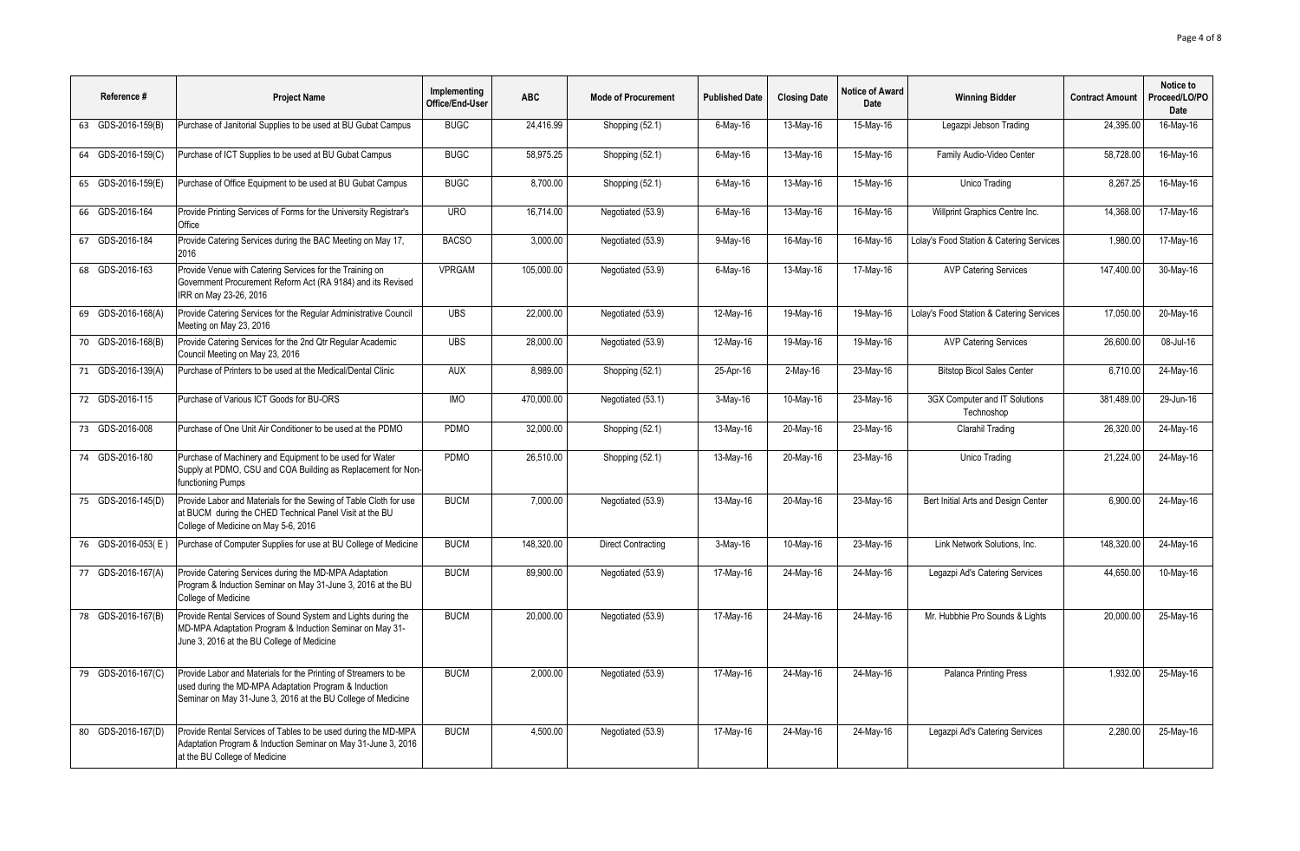| Reference #        | <b>Project Name</b>                                                                                                                                                                      | Implementing<br>Office/End-User | <b>ABC</b> | <b>Mode of Procurement</b> | <b>Published Date</b> | <b>Closing Date</b>     | Notice of Award<br>Date | <b>Winning Bidder</b>                       | <b>Contract Amount</b> | Notice to<br>Proceed/LO/PO<br>Date |
|--------------------|------------------------------------------------------------------------------------------------------------------------------------------------------------------------------------------|---------------------------------|------------|----------------------------|-----------------------|-------------------------|-------------------------|---------------------------------------------|------------------------|------------------------------------|
| 63 GDS-2016-159(B) | Purchase of Janitorial Supplies to be used at BU Gubat Campus                                                                                                                            | <b>BUGC</b>                     | 24.416.99  | Shopping (52.1)            | $6$ -May-16           | 13-May-16               | 15-May-16               | Legazpi Jebson Trading                      | 24.395.00              | 16-May-16                          |
| 64 GDS-2016-159(C) | Purchase of ICT Supplies to be used at BU Gubat Campus                                                                                                                                   | <b>BUGC</b>                     | 58,975.25  | Shopping (52.1)            | $6$ -May-16           | 13-May-16               | 15-May-16               | Family Audio-Video Center                   | 58,728.00              | 16-May-16                          |
| 65 GDS-2016-159(E) | Purchase of Office Equipment to be used at BU Gubat Campus                                                                                                                               | <b>BUGC</b>                     | 8,700.00   | Shopping (52.1)            | $6$ -May-16           | 13-May-16               | 15-May-16               | Unico Trading                               | 8,267.25               | 16-May-16                          |
| 66 GDS-2016-164    | Provide Printing Services of Forms for the University Registrar's<br>Office                                                                                                              | <b>URO</b>                      | 16,714.00  | Negotiated (53.9)          | $6$ -May-16           | 13-May-16               | 16-May-16               | Willprint Graphics Centre Inc.              | 14,368.00              | 17-May-16                          |
| 67 GDS-2016-184    | Provide Catering Services during the BAC Meeting on May 17,<br>2016                                                                                                                      | <b>BACSO</b>                    | 3,000.00   | Negotiated (53.9)          | 9-May-16              | 16-May-16               | 16-May-16               | Lolay's Food Station & Catering Services    | 1,980.00               | 17-May-16                          |
| 68 GDS-2016-163    | Provide Venue with Catering Services for the Training on<br>Government Procurement Reform Act (RA 9184) and its Revised<br>IRR on May 23-26, 2016                                        | <b>VPRGAM</b>                   | 105,000.00 | Negotiated (53.9)          | $6$ -May-16           | 13-May-16               | 17-May-16               | <b>AVP Catering Services</b>                | 147,400.00             | 30-May-16                          |
| 69 GDS-2016-168(A) | Provide Catering Services for the Regular Administrative Council<br>Meeting on May 23, 2016                                                                                              | <b>UBS</b>                      | 22,000.00  | Negotiated (53.9)          | 12-May-16             | 19-May-16               | 19-May-16               | Lolay's Food Station & Catering Services    | 17,050.00              | 20-May-16                          |
| 70 GDS-2016-168(B) | Provide Catering Services for the 2nd Qtr Regular Academic<br>Council Meeting on May 23, 2016                                                                                            | <b>UBS</b>                      | 28.000.00  | Negotiated (53.9)          | 12-May-16             | 19-May-16               | 19-May-16               | <b>AVP Catering Services</b>                | 26,600.00              | 08-Jul-16                          |
| 71 GDS-2016-139(A) | Purchase of Printers to be used at the Medical/Dental Clinic                                                                                                                             | <b>AUX</b>                      | 8,989.00   | Shopping (52.1)            | 25-Apr-16             | $2$ -May-16             | 23-May-16               | <b>Bitstop Bicol Sales Center</b>           | 6,710.00               | 24-May-16                          |
| 72 GDS-2016-115    | Purchase of Various ICT Goods for BU-ORS                                                                                                                                                 | <b>IMO</b>                      | 470.000.00 | Negotiated (53.1)          | $3-May-16$            | 10-May-16               | 23-May-16               | 3GX Computer and IT Solutions<br>Technoshop | 381.489.00             | 29-Jun-16                          |
| 73 GDS-2016-008    | Purchase of One Unit Air Conditioner to be used at the PDMO                                                                                                                              | PDMO                            | 32,000.00  | Shopping (52.1)            | 13-May-16             | 20-May-16               | 23-May-16               | Clarahil Trading                            | 26,320.00              | 24-May-16                          |
| 74 GDS-2016-180    | Purchase of Machinery and Equipment to be used for Water<br>Supply at PDMO, CSU and COA Building as Replacement for Non-<br>functioning Pumps                                            | <b>PDMO</b>                     | 26.510.00  | Shopping (52.1)            | 13-May-16             | $\overline{20}$ -May-16 | 23-May-16               | Unico Trading                               | 21.224.00              | 24-May-16                          |
| 75 GDS-2016-145(D) | Provide Labor and Materials for the Sewing of Table Cloth for use<br>at BUCM during the CHED Technical Panel Visit at the BU<br>College of Medicine on May 5-6, 2016                     | <b>BUCM</b>                     | 7.000.00   | Negotiated (53.9)          | 13-May-16             | 20-May-16               | 23-May-16               | Bert Initial Arts and Design Center         | 6.900.00               | 24-May-16                          |
| 76 GDS-2016-053(E) | Purchase of Computer Supplies for use at BU College of Medicine                                                                                                                          | <b>BUCM</b>                     | 148,320.00 | <b>Direct Contracting</b>  | 3-May-16              | 10-May-16               | 23-May-16               | Link Network Solutions, Inc.                | 148,320.00             | 24-May-16                          |
| 77 GDS-2016-167(A) | Provide Catering Services during the MD-MPA Adaptation<br>Program & Induction Seminar on May 31-June 3, 2016 at the BU<br>College of Medicine                                            | <b>BUCM</b>                     | 89,900.00  | Negotiated (53.9)          | 17-May-16             | 24-May-16               | 24-May-16               | Legazpi Ad's Catering Services              | 44,650.00              | 10-May-16                          |
| 78 GDS-2016-167(B) | Provide Rental Services of Sound System and Lights during the<br>MD-MPA Adaptation Program & Induction Seminar on May 31-<br>June 3, 2016 at the BU College of Medicine                  | <b>BUCM</b>                     | 20.000.00  | Negotiated (53.9)          | 17-May-16             | 24-May-16               | 24-May-16               | Mr. Hubbhie Pro Sounds & Lights             | 20,000.00              | 25-May-16                          |
| 79 GDS-2016-167(C) | Provide Labor and Materials for the Printing of Streamers to be<br>used during the MD-MPA Adaptation Program & Induction<br>Seminar on May 31-June 3, 2016 at the BU College of Medicine | <b>BUCM</b>                     | 2.000.00   | Negotiated (53.9)          | 17-May-16             | 24-May-16               | 24-May-16               | <b>Palanca Printing Press</b>               | 1.932.00               | 25-May-16                          |
| 80 GDS-2016-167(D) | Provide Rental Services of Tables to be used during the MD-MPA<br>Adaptation Program & Induction Seminar on May 31-June 3, 2016<br>at the BU College of Medicine                         | <b>BUCM</b>                     | 4.500.00   | Negotiated (53.9)          | 17-May-16             | 24-May-16               | $\overline{24}$ -May-16 | Legazpi Ad's Catering Services              | 2.280.00               | 25-May-16                          |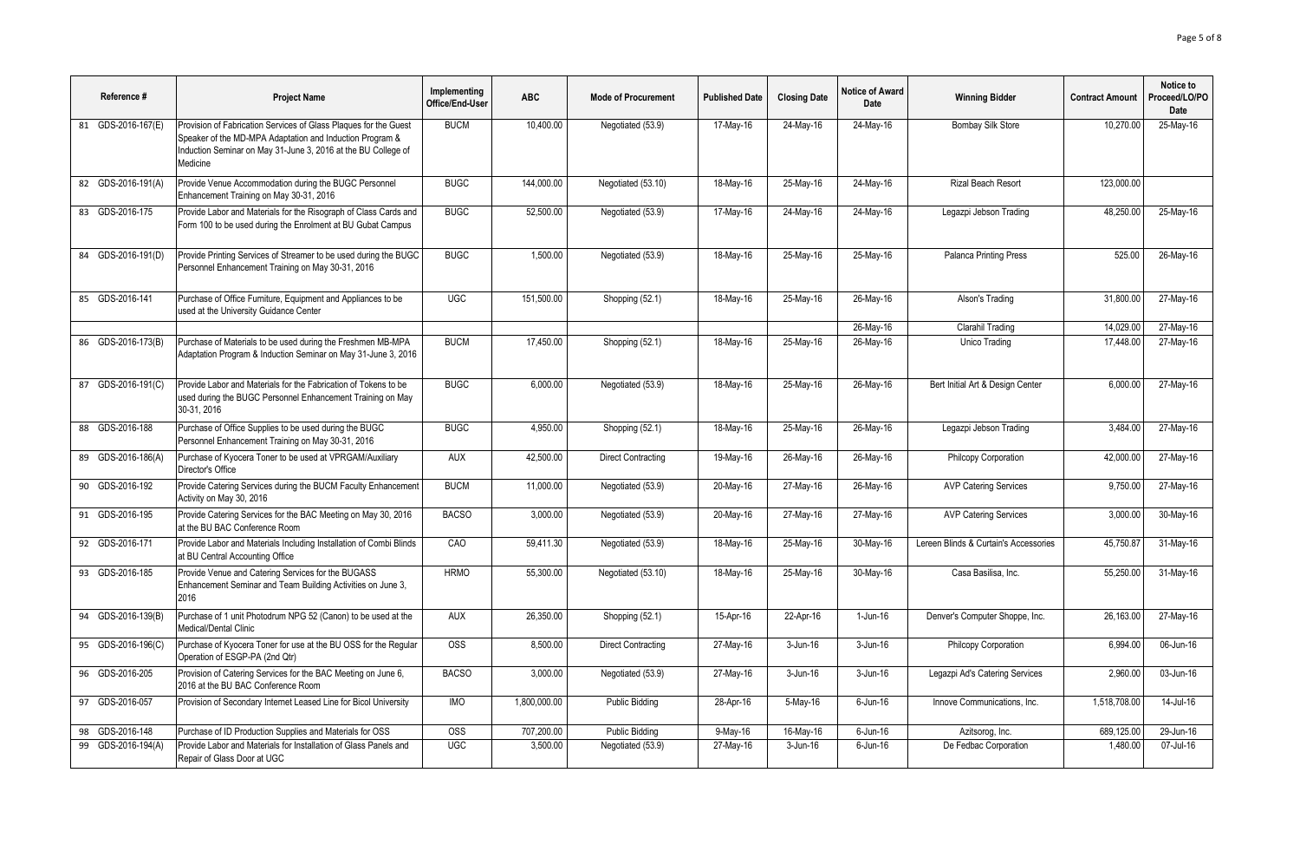| Reference #        | <b>Project Name</b>                                                                                                                                                                                       | Implementing<br>Office/End-User | <b>ABC</b>   | <b>Mode of Procurement</b> | <b>Published Date</b> | <b>Closing Date</b> | <b>Notice of Award</b><br>Date | <b>Winning Bidder</b>                 | <b>Contract Amount</b> | Notice to<br>Proceed/LO/PO<br>Date |
|--------------------|-----------------------------------------------------------------------------------------------------------------------------------------------------------------------------------------------------------|---------------------------------|--------------|----------------------------|-----------------------|---------------------|--------------------------------|---------------------------------------|------------------------|------------------------------------|
| 81 GDS-2016-167(E) | Provision of Fabrication Services of Glass Plaques for the Guest<br>Speaker of the MD-MPA Adaptation and Induction Program &<br>Induction Seminar on May 31-June 3, 2016 at the BU College of<br>Medicine | <b>BUCM</b>                     | 10.400.00    | Negotiated (53.9)          | 17-May-16             | 24-May-16           | 24-May-16                      | <b>Bombay Silk Store</b>              | 10.270.00              | 25-May-16                          |
| 82 GDS-2016-191(A) | Provide Venue Accommodation during the BUGC Personnel<br>Enhancement Training on May 30-31, 2016                                                                                                          | <b>BUGC</b>                     | 144,000.00   | Negotiated (53.10)         | 18-May-16             | 25-May-16           | 24-May-16                      | <b>Rizal Beach Resort</b>             | 123,000.00             |                                    |
| 83 GDS-2016-175    | Provide Labor and Materials for the Risograph of Class Cards and<br>Form 100 to be used during the Enrolment at BU Gubat Campus                                                                           | <b>BUGC</b>                     | 52,500.00    | Negotiated (53.9)          | 17-May-16             | 24-May-16           | 24-May-16                      | Legazpi Jebson Trading                | 48,250.00              | 25-May-16                          |
| 84 GDS-2016-191(D) | Provide Printing Services of Streamer to be used during the BUGC<br>Personnel Enhancement Training on May 30-31, 2016                                                                                     | <b>BUGC</b>                     | 1,500.00     | Negotiated (53.9)          | 18-May-16             | 25-May-16           | 25-May-16                      | <b>Palanca Printing Press</b>         | 525.00                 | 26-May-16                          |
| 85 GDS-2016-141    | Purchase of Office Furniture, Equipment and Appliances to be<br>used at the University Guidance Center                                                                                                    | <b>UGC</b>                      | 151.500.00   | Shopping (52.1)            | 18-May-16             | 25-May-16           | 26-May-16                      | Alson's Trading                       | 31,800.00              | 27-May-16                          |
|                    |                                                                                                                                                                                                           |                                 |              |                            |                       |                     | 26-May-16                      | Clarahil Trading                      | 14,029.00              | 27-May-16                          |
| 86 GDS-2016-173(B) | Purchase of Materials to be used during the Freshmen MB-MPA<br>Adaptation Program & Induction Seminar on May 31-June 3, 2016                                                                              | <b>BUCM</b>                     | 17,450.00    | Shopping (52.1)            | 18-May-16             | 25-May-16           | 26-May-16                      | Unico Trading                         | 17,448.00              | 27-May-16                          |
| 87 GDS-2016-191(C) | Provide Labor and Materials for the Fabrication of Tokens to be<br>used during the BUGC Personnel Enhancement Training on May<br>30-31, 2016                                                              | <b>BUGC</b>                     | 6.000.00     | Negotiated (53.9)          | 18-May-16             | $25$ -May-16        | 26-May-16                      | Bert Initial Art & Design Center      | 6.000.00               | 27-May-16                          |
| 88 GDS-2016-188    | Purchase of Office Supplies to be used during the BUGC<br>Personnel Enhancement Training on May 30-31, 2016                                                                                               | <b>BUGC</b>                     | 4,950.00     | Shopping (52.1)            | 18-May-16             | 25-May-16           | 26-May-16                      | Legazpi Jebson Trading                | 3,484.00               | 27-May-16                          |
| 89 GDS-2016-186(A) | Purchase of Kyocera Toner to be used at VPRGAM/Auxiliary<br>Director's Office                                                                                                                             | <b>AUX</b>                      | 42,500.00    | <b>Direct Contracting</b>  | 19-May-16             | 26-May-16           | 26-May-16                      | Philcopy Corporation                  | 42,000.00              | 27-May-16                          |
| 90 GDS-2016-192    | Provide Catering Services during the BUCM Faculty Enhancement<br>Activity on May 30, 2016                                                                                                                 | <b>BUCM</b>                     | 11,000.00    | Negotiated (53.9)          | 20-May-16             | 27-May-16           | 26-May-16                      | <b>AVP Catering Services</b>          | 9,750.00               | 27-May-16                          |
| 91 GDS-2016-195    | Provide Catering Services for the BAC Meeting on May 30, 2016<br>at the BU BAC Conference Room                                                                                                            | <b>BACSO</b>                    | 3,000.00     | Negotiated (53.9)          | 20-May-16             | 27-May-16           | 27-May-16                      | <b>AVP Catering Services</b>          | 3,000.00               | 30-May-16                          |
| 92 GDS-2016-171    | Provide Labor and Materials Including Installation of Combi Blinds<br>at BU Central Accounting Office                                                                                                     | CAO                             | 59,411.30    | Negotiated (53.9)          | 18-May-16             | 25-May-16           | 30-May-16                      | Lereen Blinds & Curtain's Accessories | 45,750.87              | 31-May-16                          |
| 93 GDS-2016-185    | Provide Venue and Catering Services for the BUGASS<br>Enhancement Seminar and Team Building Activities on June 3,<br>2016                                                                                 | <b>HRMO</b>                     | 55,300.00    | Negotiated (53.10)         | 18-May-16             | 25-May-16           | 30-May-16                      | Casa Basilisa, Inc.                   | 55,250.00              | 31-May-16                          |
| 94 GDS-2016-139(B) | Purchase of 1 unit Photodrum NPG 52 (Canon) to be used at the<br>Medical/Dental Clinic                                                                                                                    | <b>AUX</b>                      | 26,350.00    | Shopping (52.1)            | 15-Apr-16             | 22-Apr-16           | $1-Jun-16$                     | Denver's Computer Shoppe, Inc.        | 26,163.00              | 27-May-16                          |
| 95 GDS-2016-196(C) | Purchase of Kyocera Toner for use at the BU OSS for the Regular<br>Operation of ESGP-PA (2nd Qtr)                                                                                                         | <b>OSS</b>                      | 8.500.00     | <b>Direct Contracting</b>  | 27-May-16             | 3-Jun-16            | 3-Jun-16                       | Philcopy Corporation                  | 6.994.00               | 06-Jun-16                          |
| 96 GDS-2016-205    | Provision of Catering Services for the BAC Meeting on June 6,<br>2016 at the BU BAC Conference Room                                                                                                       | <b>BACSO</b>                    | 3,000.00     | Negotiated (53.9)          | 27-May-16             | 3-Jun-16            | 3-Jun-16                       | Legazpi Ad's Catering Services        | 2,960.00               | 03-Jun-16                          |
| 97 GDS-2016-057    | Provision of Secondary Internet Leased Line for Bicol University                                                                                                                                          | <b>IMO</b>                      | 1,800,000.00 | <b>Public Bidding</b>      | 28-Apr-16             | $5-May-16$          | $6$ -Jun-16                    | Innove Communications, Inc.           | 1,518,708.00           | $14$ -Jul-16                       |
| 98 GDS-2016-148    | Purchase of ID Production Supplies and Materials for OSS                                                                                                                                                  | <b>OSS</b>                      | 707,200.00   | <b>Public Bidding</b>      | 9-May-16              | 16-May-16           | $6$ -Jun-16                    | Azitsorog, Inc.                       | 689,125.00             | 29-Jun-16                          |
| 99 GDS-2016-194(A) | Provide Labor and Materials for Installation of Glass Panels and<br>Repair of Glass Door at UGC                                                                                                           | $\overline{UGC}$                | 3.500.00     | Negotiated (53.9)          | 27-May-16             | 3-Jun-16            | 6-Jun-16                       | De Fedbac Corporation                 | 1.480.00               | 07-Jul-16                          |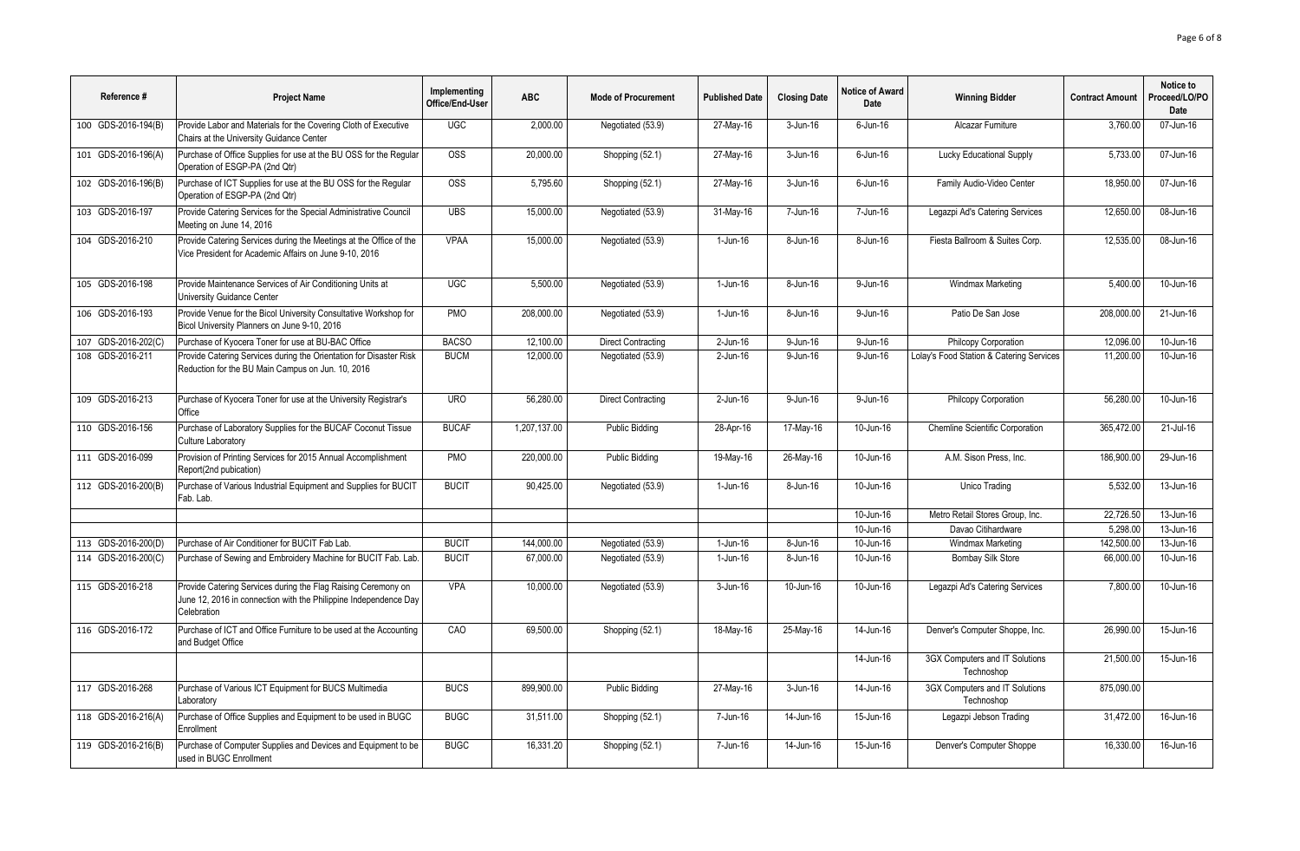| Reference #         | <b>Project Name</b>                                                                                                                              | Implementing<br>Office/End-User | <b>ABC</b>   | <b>Mode of Procurement</b> | <b>Published Date</b> | <b>Closing Date</b>     | Notice of Award<br>Date | <b>Winning Bidder</b>                        | <b>Contract Amount</b> | Notice to<br>Proceed/LO/PO<br>Date |
|---------------------|--------------------------------------------------------------------------------------------------------------------------------------------------|---------------------------------|--------------|----------------------------|-----------------------|-------------------------|-------------------------|----------------------------------------------|------------------------|------------------------------------|
| 100 GDS-2016-194(B) | Provide Labor and Materials for the Covering Cloth of Executive<br>Chairs at the University Guidance Center                                      | <b>UGC</b>                      | 2,000.00     | Negotiated (53.9)          | 27-May-16             | 3-Jun-16                | $6$ -Jun-16             | Alcazar Furniture                            | 3,760.00               | 07-Jun-16                          |
| 101 GDS-2016-196(A) | Purchase of Office Supplies for use at the BU OSS for the Regular<br>Operation of ESGP-PA (2nd Qtr)                                              | $\overline{OSS}$                | 20,000.00    | Shopping (52.1)            | 27-May-16             | 3-Jun-16                | 6-Jun-16                | Lucky Educational Supply                     | 5,733.00               | 07-Jun-16                          |
| 102 GDS-2016-196(B) | Purchase of ICT Supplies for use at the BU OSS for the Regular<br>Operation of ESGP-PA (2nd Qtr)                                                 | <b>OSS</b>                      | 5,795.60     | Shopping (52.1)            | 27-May-16             | 3-Jun-16                | $6$ -Jun-16             | Family Audio-Video Center                    | 18,950.00              | 07-Jun-16                          |
| 103 GDS-2016-197    | Provide Catering Services for the Special Administrative Council<br>Meeting on June 14, 2016                                                     | <b>UBS</b>                      | 15.000.00    | Negotiated (53.9)          | 31-May-16             | 7-Jun-16                | 7-Jun-16                | Legazpi Ad's Catering Services               | 12,650.00              | 08-Jun-16                          |
| 104 GDS-2016-210    | Provide Catering Services during the Meetings at the Office of the<br>Vice President for Academic Affairs on June 9-10, 2016                     | <b>VPAA</b>                     | 15,000.00    | Negotiated (53.9)          | $1-Jun-16$            | 8-Jun-16                | 8-Jun-16                | Fiesta Ballroom & Suites Corp.               | 12,535.00              | 08-Jun-16                          |
| 105 GDS-2016-198    | Provide Maintenance Services of Air Conditioning Units at<br>University Guidance Center                                                          | <b>UGC</b>                      | 5,500.00     | Negotiated (53.9)          | $1-Jun-16$            | 8-Jun-16                | $9 - Jun-16$            | Windmax Marketing                            | 5,400.00               | 10-Jun-16                          |
| 106 GDS-2016-193    | Provide Venue for the Bicol University Consultative Workshop for<br>Bicol University Planners on June 9-10, 2016                                 | PMO                             | 208,000.00   | Negotiated (53.9)          | $1-Jun-16$            | 8-Jun-16                | 9-Jun-16                | Patio De San Jose                            | 208,000.00             | 21-Jun-16                          |
| 107 GDS-2016-202(C) | Purchase of Kyocera Toner for use at BU-BAC Office                                                                                               | <b>BACSO</b>                    | 12,100.00    | <b>Direct Contracting</b>  | 2-Jun-16              | 9-Jun-16                | 9-Jun-16                | Philcopy Corporation                         | 12,096.00              | 10-Jun-16                          |
| 108 GDS-2016-211    | Provide Catering Services during the Orientation for Disaster Risk<br>Reduction for the BU Main Campus on Jun. 10, 2016                          | <b>BUCM</b>                     | 12,000.00    | Negotiated (53.9)          | 2-Jun-16              | $9 - Jun-16$            | 9-Jun-16                | Lolay's Food Station & Catering Services     | 11,200.00              | 10-Jun-16                          |
| 109 GDS-2016-213    | Purchase of Kyocera Toner for use at the University Registrar's<br>Office                                                                        | <b>URO</b>                      | 56,280.00    | <b>Direct Contracting</b>  | 2-Jun-16              | 9-Jun-16                | 9-Jun-16                | Philcopy Corporation                         | 56,280.00              | $10$ -Jun-16                       |
| 110 GDS-2016-156    | Purchase of Laboratory Supplies for the BUCAF Coconut Tissue<br><b>Culture Laboratory</b>                                                        | <b>BUCAF</b>                    | 1,207,137.00 | <b>Public Bidding</b>      | 28-Apr-16             | 17-May-16               | 10-Jun-16               | <b>Chemline Scientific Corporation</b>       | 365.472.00             | 21-Jul-16                          |
| 111 GDS-2016-099    | Provision of Printing Services for 2015 Annual Accomplishment<br>Report(2nd pubication)                                                          | PMO                             | 220,000.00   | <b>Public Bidding</b>      | 19-May-16             | $26$ -May-16            | 10-Jun-16               | A.M. Sison Press. Inc.                       | 186.900.00             | 29-Jun-16                          |
| 112 GDS-2016-200(B) | Purchase of Various Industrial Equipment and Supplies for BUCIT<br>Fab. Lab.                                                                     | <b>BUCIT</b>                    | 90,425.00    | Negotiated (53.9)          | 1-Jun-16              | 8-Jun-16                | 10-Jun-16               | Unico Trading                                | 5,532.00               | 13-Jun-16                          |
|                     |                                                                                                                                                  |                                 |              |                            |                       |                         | 10-Jun-16               | Metro Retail Stores Group, Inc.              | 22,726.50              | 13-Jun-16                          |
|                     |                                                                                                                                                  |                                 |              |                            |                       |                         | 10-Jun-16               | Davao Citihardware                           | 5.298.00               | 13-Jun-16                          |
| 113 GDS-2016-200(D) | Purchase of Air Conditioner for BUCIT Fab Lab.                                                                                                   | <b>BUCIT</b>                    | 144.000.00   | Negotiated (53.9)          | 1-Jun-16              | 8-Jun-16                | 10-Jun-16               | Windmax Marketing                            | 142.500.00             | 13-Jun-16                          |
| 114 GDS-2016-200(C) | Purchase of Sewing and Embroidery Machine for BUCIT Fab. Lab.                                                                                    | <b>BUCIT</b>                    | 67,000.00    | Negotiated (53.9)          | 1-Jun-16              | 8-Jun-16                | 10-Jun-16               | <b>Bombay Silk Store</b>                     | 66,000.00              | 10-Jun-16                          |
| 115 GDS-2016-218    | Provide Catering Services during the Flag Raising Ceremony on<br>June 12, 2016 in connection with the Philippine Independence Day<br>Celebration | <b>VPA</b>                      | 10,000.00    | Negotiated (53.9)          | 3-Jun-16              | 10-Jun-16               | 10-Jun-16               | Legazpi Ad's Catering Services               | 7,800.00               | 10-Jun-16                          |
| 116 GDS-2016-172    | Purchase of ICT and Office Furniture to be used at the Accounting<br>and Budget Office                                                           | CAO                             | 69.500.00    | Shopping (52.1)            | 18-May-16             | 25-May-16               | 14-Jun-16               | Denver's Computer Shoppe, Inc.               | 26.990.00              | 15-Jun-16                          |
|                     |                                                                                                                                                  |                                 |              |                            |                       |                         | 14-Jun-16               | 3GX Computers and IT Solutions<br>Technoshop | 21,500.00              | 15-Jun-16                          |
| 117 GDS-2016-268    | Purchase of Various ICT Equipment for BUCS Multimedia<br>Laboratory                                                                              | <b>BUCS</b>                     | 899.900.00   | <b>Public Bidding</b>      | 27-May-16             | 3-Jun-16                | 14-Jun-16               | 3GX Computers and IT Solutions<br>Technoshop | 875.090.00             |                                    |
| 118 GDS-2016-216(A) | Purchase of Office Supplies and Equipment to be used in BUGC<br>Enrollment                                                                       | <b>BUGC</b>                     | 31,511.00    | Shopping (52.1)            | 7-Jun-16              | 14-Jun-16               | 15-Jun-16               | Legazpi Jebson Trading                       | 31,472.00              | 16-Jun-16                          |
| 119 GDS-2016-216(B) | Purchase of Computer Supplies and Devices and Equipment to be<br>used in BUGC Enrollment                                                         | <b>BUGC</b>                     | 16,331.20    | Shopping (52.1)            | 7-Jun-16              | $\overline{14}$ -Jun-16 | 15-Jun-16               | Denver's Computer Shoppe                     | 16,330.00              | 16-Jun-16                          |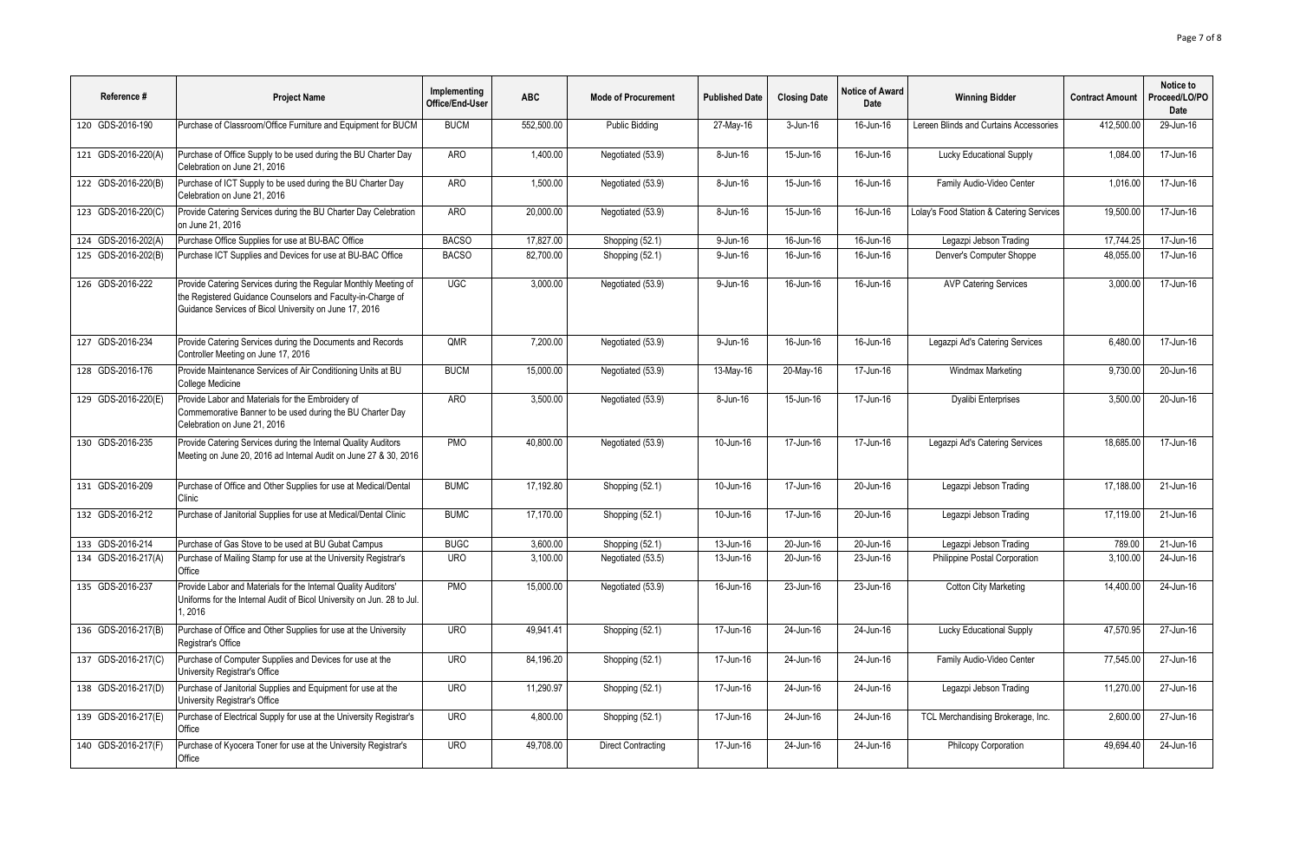| Reference #         | <b>Project Name</b>                                                                                                                                                                      | Implementing<br>Office/End-User | <b>ABC</b> | <b>Mode of Procurement</b> | <b>Published Date</b>   | <b>Closing Date</b>     | <b>Notice of Award</b><br>Date | <b>Winning Bidder</b>                    | <b>Contract Amount</b> | Notice to<br>Proceed/LO/PO<br>Date |
|---------------------|------------------------------------------------------------------------------------------------------------------------------------------------------------------------------------------|---------------------------------|------------|----------------------------|-------------------------|-------------------------|--------------------------------|------------------------------------------|------------------------|------------------------------------|
| 120 GDS-2016-190    | Purchase of Classroom/Office Furniture and Equipment for BUCM                                                                                                                            | <b>BUCM</b>                     | 552.500.00 | Public Bidding             | 27-May-16               | 3-Jun-16                | 16-Jun-16                      | Lereen Blinds and Curtains Accessories   | 412.500.00             | 29-Jun-16                          |
| 121 GDS-2016-220(A) | Purchase of Office Supply to be used during the BU Charter Day<br>Celebration on June 21, 2016                                                                                           | ARO                             | 1,400.00   | Negotiated (53.9)          | 8-Jun-16                | 15-Jun-16               | 16-Jun-16                      | Lucky Educational Supply                 | 1.084.00               | 17-Jun-16                          |
| 122 GDS-2016-220(B) | Purchase of ICT Supply to be used during the BU Charter Day<br>Celebration on June 21, 2016                                                                                              | AR <sub>O</sub>                 | 1,500.00   | Negotiated (53.9)          | $8 - Jun-16$            | $15 - Jun-16$           | 16-Jun-16                      | Family Audio-Video Center                | 1,016.00               | 17-Jun-16                          |
| 123 GDS-2016-220(C) | Provide Catering Services during the BU Charter Day Celebration<br>on June 21, 2016                                                                                                      | <b>ARO</b>                      | 20.000.00  | Negotiated (53.9)          | 8-Jun-16                | 15-Jun-16               | 16-Jun-16                      | Lolay's Food Station & Catering Services | 19,500.00              | 17-Jun-16                          |
| 124 GDS-2016-202(A) | Purchase Office Supplies for use at BU-BAC Office                                                                                                                                        | <b>BACSO</b>                    | 17,827.00  | Shopping (52.1)            | 9-Jun-16                | 16-Jun-16               | 16-Jun-16                      | Legazpi Jebson Trading                   | 17,744.25              | 17-Jun-16                          |
| 125 GDS-2016-202(B) | Purchase ICT Supplies and Devices for use at BU-BAC Office                                                                                                                               | <b>BACSO</b>                    | 82,700.00  | Shopping (52.1)            | 9-Jun-16                | 16-Jun-16               | 16-Jun-16                      | Denver's Computer Shoppe                 | 48,055.00              | 17-Jun-16                          |
| 126 GDS-2016-222    | Provide Catering Services during the Regular Monthly Meeting of<br>the Registered Guidance Counselors and Faculty-in-Charge of<br>Guidance Services of Bicol University on June 17, 2016 | UGC                             | 3.000.00   | Negotiated (53.9)          | 9-Jun-16                | 16-Jun-16               | 16-Jun-16                      | <b>AVP Catering Services</b>             | 3.000.00               | 17-Jun-16                          |
| 127 GDS-2016-234    | Provide Catering Services during the Documents and Records<br>Controller Meeting on June 17, 2016                                                                                        | <b>OMR</b>                      | 7.200.00   | Negotiated (53.9)          | 9-Jun-16                | 16-Jun-16               | 16-Jun-16                      | Legazpi Ad's Catering Services           | 6.480.00               | 17-Jun-16                          |
| 128 GDS-2016-176    | Provide Maintenance Services of Air Conditioning Units at BU<br>College Medicine                                                                                                         | <b>BUCM</b>                     | 15,000.00  | Negotiated (53.9)          | 13-May-16               | 20-May-16               | 17-Jun-16                      | Windmax Marketing                        | 9,730.00               | 20-Jun-16                          |
| 129 GDS-2016-220(E) | Provide Labor and Materials for the Embroidery of<br>Commemorative Banner to be used during the BU Charter Day<br>Celebration on June 21, 2016                                           | <b>ARO</b>                      | 3,500.00   | Negotiated (53.9)          | 8-Jun-16                | 15-Jun-16               | 17-Jun-16                      | Dyalibi Enterprises                      | 3,500.00               | 20-Jun-16                          |
| 130 GDS-2016-235    | Provide Catering Services during the Internal Quality Auditors<br>Meeting on June 20, 2016 ad Internal Audit on June 27 & 30, 2016                                                       | <b>PMO</b>                      | 40.800.00  | Negotiated (53.9)          | $10$ -Jun-16            | 17-Jun-16               | 17-Jun-16                      | Legazpi Ad's Catering Services           | 18.685.00              | 17-Jun-16                          |
| 131 GDS-2016-209    | Purchase of Office and Other Supplies for use at Medical/Dental<br>Clinic                                                                                                                | <b>BUMC</b>                     | 17.192.80  | Shopping (52.1)            | $\overline{10}$ -Jun-16 | $\overline{17}$ -Jun-16 | 20-Jun-16                      | Legazpi Jebson Trading                   | 17.188.00              | 21-Jun-16                          |
| 132 GDS-2016-212    | Purchase of Janitorial Supplies for use at Medical/Dental Clinic                                                                                                                         | <b>BUMC</b>                     | 17,170.00  | Shopping (52.1)            | 10-Jun-16               | 17-Jun-16               | 20-Jun-16                      | Legazpi Jebson Trading                   | 17,119.00              | 21-Jun-16                          |
| 133 GDS-2016-214    | Purchase of Gas Stove to be used at BU Gubat Campus                                                                                                                                      | <b>BUGC</b>                     | 3,600.00   | Shopping (52.1)            | 13-Jun-16               | 20-Jun-16               | 20-Jun-16                      | Legazpi Jebson Trading                   | 789.00                 | $21$ -Jun-16                       |
| 134 GDS-2016-217(A) | Purchase of Mailing Stamp for use at the University Registrar's<br>Office                                                                                                                | <b>URO</b>                      | 3.100.00   | Negotiated (53.5)          | $13 - Jun-16$           | 20-Jun-16               | 23-Jun-16                      | Philippine Postal Corporation            | 3.100.00               | 24-Jun-16                          |
| 135 GDS-2016-237    | Provide Labor and Materials for the Internal Quality Auditors'<br>Uniforms for the Internal Audit of Bicol University on Jun. 28 to Jul.<br>1.2016                                       | <b>PMO</b>                      | 15,000.00  | Negotiated (53.9)          | 16-Jun-16               | 23-Jun-16               | 23-Jun-16                      | <b>Cotton City Marketing</b>             | 14.400.00              | 24-Jun-16                          |
| 136 GDS-2016-217(B) | Purchase of Office and Other Supplies for use at the University<br>Registrar's Office                                                                                                    | <b>URO</b>                      | 49.941.41  | Shopping (52.1)            | $17 - Jun-16$           | 24-Jun-16               | 24-Jun-16                      | <b>Lucky Educational Supply</b>          | 47.570.95              | 27-Jun-16                          |
| 137 GDS-2016-217(C) | Purchase of Computer Supplies and Devices for use at the<br>University Registrar's Office                                                                                                | <b>URO</b>                      | 84,196.20  | Shopping (52.1)            | 17-Jun-16               | 24-Jun-16               | 24-Jun-16                      | Family Audio-Video Center                | 77,545.00              | 27-Jun-16                          |
| 138 GDS-2016-217(D) | Purchase of Janitorial Supplies and Equipment for use at the<br>University Registrar's Office                                                                                            | <b>URO</b>                      | 11,290.97  | Shopping (52.1)            | 17-Jun-16               | 24-Jun-16               | 24-Jun-16                      | Legazpi Jebson Trading                   | 11,270.00              | 27-Jun-16                          |
| 139 GDS-2016-217(E) | Purchase of Electrical Supply for use at the University Registrar's<br>Office                                                                                                            | <b>URO</b>                      | 4.800.00   | Shopping (52.1)            | 17-Jun-16               | 24-Jun-16               | 24-Jun-16                      | TCL Merchandising Brokerage, Inc.        | 2.600.00               | $\overline{27}$ -Jun-16            |
| 140 GDS-2016-217(F) | Purchase of Kyocera Toner for use at the University Registrar's<br>Office                                                                                                                | <b>URO</b>                      | 49,708.00  | <b>Direct Contracting</b>  | $\overline{17}$ -Jun-16 | 24-Jun-16               | 24-Jun-16                      | Philcopy Corporation                     | 49.694.40              | 24-Jun-16                          |